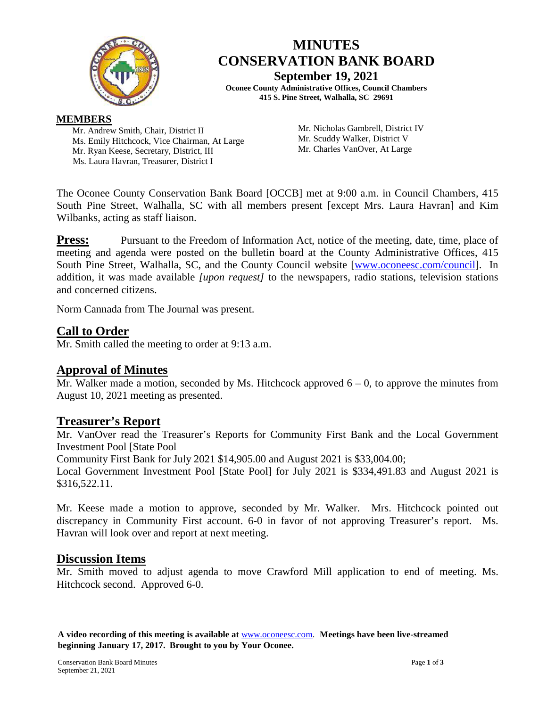

# **MINUTES CONSERVATION BANK BOARD September 19, 2021**

**Oconee County Administrative Offices, Council Chambers 415 S. Pine Street, Walhalla, SC 29691**

#### **MEMBERS**

Mr. Andrew Smith, Chair, District II Ms. Emily Hitchcock, Vice Chairman, At Large Mr. Ryan Keese, Secretary, District, III Ms. Laura Havran, Treasurer, District I

Mr. Nicholas Gambrell, District IV Mr. Scuddy Walker, District V Mr. Charles VanOver, At Large

The Oconee County Conservation Bank Board [OCCB] met at 9:00 a.m. in Council Chambers, 415 South Pine Street, Walhalla, SC with all members present [except Mrs. Laura Havran] and Kim Wilbanks, acting as staff liaison.

**Press:** Pursuant to the Freedom of Information Act, notice of the meeting, date, time, place of meeting and agenda were posted on the bulletin board at the County Administrative Offices, 415 South Pine Street, Walhalla, SC, and the County Council website [\[www.oconeesc.com/council\]](http://www.oconeesc.com/council). In addition, it was made available *[upon request]* to the newspapers, radio stations, television stations and concerned citizens.

Norm Cannada from The Journal was present.

### **Call to Order**

Mr. Smith called the meeting to order at 9:13 a.m.

### **Approval of Minutes**

Mr. Walker made a motion, seconded by Ms. Hitchcock approved  $6 - 0$ , to approve the minutes from August 10, 2021 meeting as presented.

### **Treasurer's Report**

Mr. VanOver read the Treasurer's Reports for Community First Bank and the Local Government Investment Pool [State Pool

Community First Bank for July 2021 \$14,905.00 and August 2021 is \$33,004.00;

Local Government Investment Pool [State Pool] for July 2021 is \$334,491.83 and August 2021 is \$316,522.11.

Mr. Keese made a motion to approve, seconded by Mr. Walker. Mrs. Hitchcock pointed out discrepancy in Community First account. 6-0 in favor of not approving Treasurer's report. Ms. Havran will look over and report at next meeting.

### **Discussion Items**

Mr. Smith moved to adjust agenda to move Crawford Mill application to end of meeting. Ms. Hitchcock second. Approved 6-0.

**A video recording of this meeting is available at** [www.oconeesc.com.](http://www.oconeesc.com/) **Meetings have been live-streamed beginning January 17, 2017. Brought to you by Your Oconee.**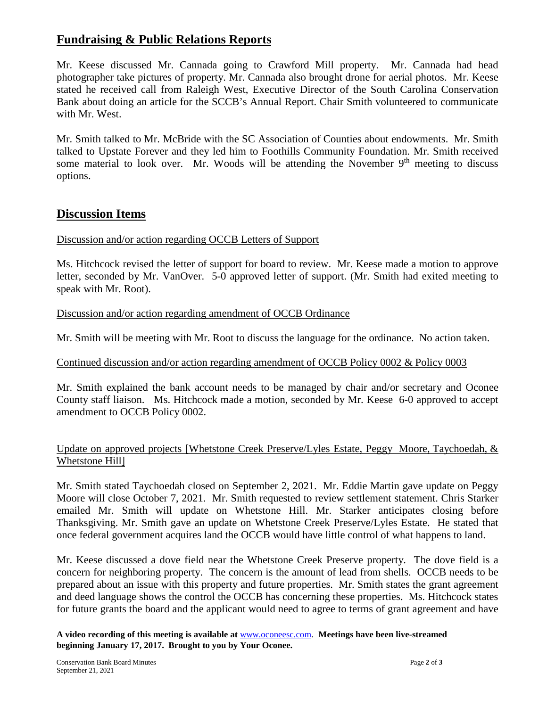# **Fundraising & Public Relations Reports**

Mr. Keese discussed Mr. Cannada going to Crawford Mill property. Mr. Cannada had head photographer take pictures of property. Mr. Cannada also brought drone for aerial photos. Mr. Keese stated he received call from Raleigh West, Executive Director of the South Carolina Conservation Bank about doing an article for the SCCB's Annual Report. Chair Smith volunteered to communicate with Mr. West.

Mr. Smith talked to Mr. McBride with the SC Association of Counties about endowments. Mr. Smith talked to Upstate Forever and they led him to Foothills Community Foundation. Mr. Smith received some material to look over. Mr. Woods will be attending the November  $9<sup>th</sup>$  meeting to discuss options.

## **Discussion Items**

Discussion and/or action regarding OCCB Letters of Support

Ms. Hitchcock revised the letter of support for board to review. Mr. Keese made a motion to approve letter, seconded by Mr. VanOver. 5-0 approved letter of support. (Mr. Smith had exited meeting to speak with Mr. Root).

#### Discussion and/or action regarding amendment of OCCB Ordinance

Mr. Smith will be meeting with Mr. Root to discuss the language for the ordinance. No action taken.

### Continued discussion and/or action regarding amendment of OCCB Policy 0002 & Policy 0003

Mr. Smith explained the bank account needs to be managed by chair and/or secretary and Oconee County staff liaison. Ms. Hitchcock made a motion, seconded by Mr. Keese 6-0 approved to accept amendment to OCCB Policy 0002.

#### Update on approved projects [Whetstone Creek Preserve/Lyles Estate, Peggy Moore, Taychoedah, & Whetstone Hill]

Mr. Smith stated Taychoedah closed on September 2, 2021. Mr. Eddie Martin gave update on Peggy Moore will close October 7, 2021. Mr. Smith requested to review settlement statement. Chris Starker emailed Mr. Smith will update on Whetstone Hill. Mr. Starker anticipates closing before Thanksgiving. Mr. Smith gave an update on Whetstone Creek Preserve/Lyles Estate. He stated that once federal government acquires land the OCCB would have little control of what happens to land.

Mr. Keese discussed a dove field near the Whetstone Creek Preserve property. The dove field is a concern for neighboring property. The concern is the amount of lead from shells. OCCB needs to be prepared about an issue with this property and future properties. Mr. Smith states the grant agreement and deed language shows the control the OCCB has concerning these properties. Ms. Hitchcock states for future grants the board and the applicant would need to agree to terms of grant agreement and have

**A video recording of this meeting is available at** [www.oconeesc.com.](http://www.oconeesc.com/) **Meetings have been live-streamed beginning January 17, 2017. Brought to you by Your Oconee.**